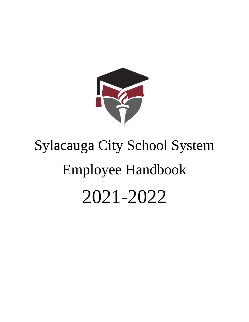

# Sylacauga City School System Employee Handbook 2021-2022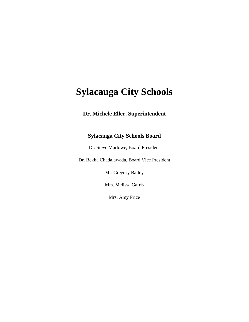# **Sylacauga City Schools**

# **Dr. Michele Eller, Superintendent**

# **Sylacauga City Schools Board**

Dr. Steve Marlowe, Board President

Dr. Rekha Chadalawada, Board Vice President

Mr. Gregory Bailey

Mrs. Melissa Garris

Mrs. Amy Price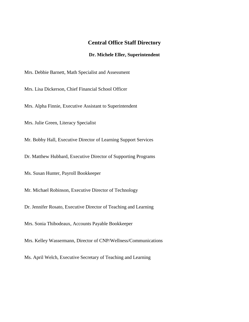## **Central Office Staff Directory**

#### **Dr. Michele Eller, Superintendent**

Mrs. Debbie Barnett, Math Specialist and Assessment

Mrs. Lisa Dickerson, Chief Financial School Officer

Mrs. Alpha Finnie, Executive Assistant to Superintendent

Mrs. Julie Green, Literacy Specialist

Mr. Bobby Hall, Executive Director of Learning Support Services

Dr. Matthew Hubbard, Executive Director of Supporting Programs

Ms. Susan Hunter, Payroll Bookkeeper

Mr. Michael Robinson, Executive Director of Technology

Dr. Jennifer Rosato, Executive Director of Teaching and Learning

Mrs. Sonia Thibodeaux, Accounts Payable Bookkeeper

Mrs. Kelley Wassermann, Director of CNP/Wellness/Communications

Ms. April Welch, Executive Secretary of Teaching and Learning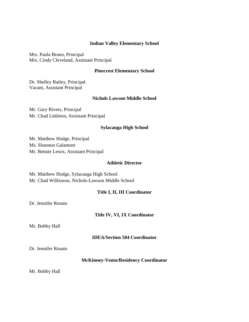#### **Indian Valley Elementary School**

Mrs. Paula Bruno, Principal Mrs. Cindy Cleveland, Assistant Principal

#### **Pinecrest Elementary School**

Dr. Shelley Bailey, Principal Vacant, Assistant Principal

#### **Nichols Lawson Middle School**

Mr. Gary Rivers, Principal Mr. Chad Littleton, Assistant Principal

#### **Sylacauga High School**

Mr. Matthew Hodge, Principal Ms. Shannon Galamore Mr. Bennie Lewis, Assistant Principal

#### **Athletic Director**

Mr. Matthew Hodge, Sylacauga High School Mr. Chad Wilkinson, Nichols-Lawson Middle School

#### **Title I, II, III Coordinator**

Dr. Jennifer Rosato

#### **Title IV, VI, IX Coordinator**

Mr. Bobby Hall

#### **IDEA/Section 504 Coordinator**

Dr. Jennifer Rosato

#### **McKinney-Vento/Residency Coordinator**

Mr. Bobby Hall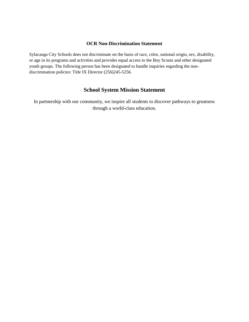#### **OCR Non-Discrimination Statement**

Sylacauga City Schools does not discriminate on the basis of race, color, national origin, sex, disability, or age in its programs and activities and provides equal access to the Boy Scouts and other designated youth groups. The following person has been designated to handle inquiries regarding the nondiscrimination policies: Title IX Director (256)245-5256.

# **School System Mission Statement**

In partnership with our community, we inspire all students to discover pathways to greatness through a world-class education.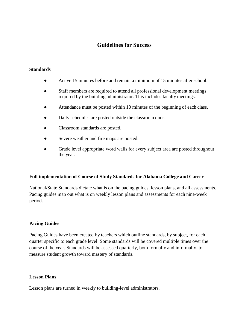# **Guidelines for Success**

#### **Standards**

- Arrive 15 minutes before and remain a minimum of 15 minutes after school.
- Staff members are required to attend all professional development meetings required by the building administrator. This includes faculty meetings.
- Attendance must be posted within 10 minutes of the beginning of each class.
- Daily schedules are posted outside the classroom door.
- Classroom standards are posted.
- Severe weather and fire maps are posted.
- Grade level appropriate word walls for every subject area are posted throughout the year.

#### **Full implementation of Course of Study Standards for Alabama College and Career**

National/State Standards dictate what is on the pacing guides, lesson plans, and all assessments. Pacing guides map out what is on weekly lesson plans and assessments for each nine-week period.

#### **Pacing Guides**

Pacing Guides have been created by teachers which outline standards, by subject, for each quarter specific to each grade level. Some standards will be covered multiple times over the course of the year. Standards will be assessed quarterly, both formally and informally, to measure student growth toward mastery of standards.

#### **Lesson Plans**

Lesson plans are turned in weekly to building-level administrators.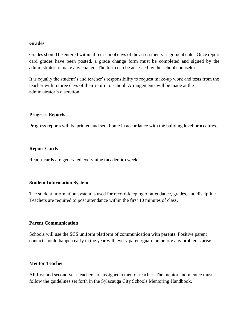#### **Grades**

Grades should be entered within three school days of the assessment/assignment date. Once report card grades have been posted, a grade change form must be completed and signed by the administrator to make any change. The form can be accessed by the school counselor.

It is equally the student's and teacher's responsibility to request make-up work and tests from the teacher within three days of their return to school. Arrangements will be made at the administrator's discretion.

#### **Progress Reports**

Progress reports will be printed and sent home in accordance with the building level procedures.

#### **Report Cards**

Report cards are generated every nine (academic) weeks.

#### **Student Information System**

The student information system is used for record-keeping of attendance, grades, and discipline. Teachers are required to post attendance within the first 10 minutes of class.

#### **Parent Communication**

Schools will use the SCS uniform platform of communication with parents. Positive parent contact should happen early in the year with every parent/guardian before any problems arise.

#### **Mentor Teacher**

All first and second year teachers are assigned a mentor teacher. The mentor and mentee must follow the guidelines set forth in the Sylacauga City Schools Mentoring Handbook.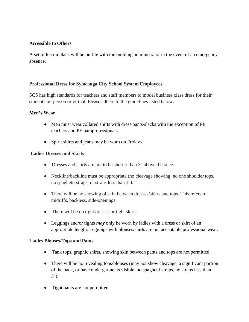# **Accessible to Others**

A set of lesson plans will be on file with the building administrator in the event of an emergency absence.

# **Professional Dress for Sylacauga City School System Employees**

SCS has high standards for teachers and staff members to model business class dress for their students in- person or virtual. Please adhere to the guidelines listed below.

# **Men's Wear**

- Men must wear collared shirts with dress pants/slacks with the exception of PE teachers and PE paraprofessionals.
- Spirit shirts and jeans may be worn on Fridays.

# **Ladies Dresses and Skirts**

- Dresses and skirts are not to be shorter than 3" above the knee.
- Neckline/backline must be appropriate (no cleavage showing, no one shoulder tops, no spaghetti straps, or straps less than 3").
- There will be no showing of skin between dresses/skirts and tops. This refers to midriffs, backless, side-openings.
- There will be no tight dresses or tight skirts.
- Leggings and/or tights *may* only be worn by ladies with a dress or skirt of an appropriate length. Leggings with blouses/shirts are not acceptable professional wear.

# **Ladies Blouses/Tops and Pants**

- Tank tops, graphic shirts, showing skin between pants and tops are not permitted.
- There will be no revealing tops/blouses (may not show cleavage, a significant portion of the back, or have undergarments visible, no spaghetti straps, no straps less than 3").
- Tight pants are not permitted.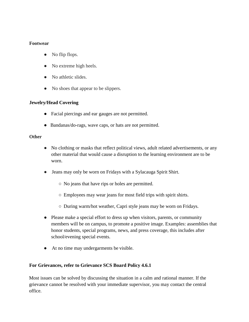# **Footwear**

- No flip flops.
- No extreme high heels.
- No athletic slides.
- No shoes that appear to be slippers.

# **Jewelry/Head Covering**

- Facial piercings and ear gauges are not permitted.
- Bandanas/do-rags, wave caps, or hats are not permitted.

## **Other**

- No clothing or masks that reflect political views, adult related advertisements, or any other material that would cause a disruption to the learning environment are to be worn.
- Jeans may only be worn on Fridays with a Sylacauga Spirit Shirt.
	- No jeans that have rips or holes are permitted.
	- Employees may wear jeans for most field trips with spirit shirts.
	- During warm/hot weather, Capri style jeans may be worn on Fridays.
- Please make a special effort to dress up when visitors, parents, or community members will be on campus, to promote a positive image. Examples: assemblies that honor students, special programs, news, and press coverage, this includes after school/evening special events.
- At no time may undergarments be visible.

# **For Grievances, refer to Grievance SCS Board Policy 4.6.1**

Most issues can be solved by discussing the situation in a calm and rational manner. If the grievance cannot be resolved with your immediate supervisor, you may contact the central office.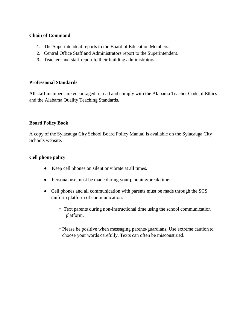#### **Chain of Command**

- 1. The Superintendent reports to the Board of Education Members.
- 2. Central Office Staff and Administrators report to the Superintendent.
- 3. Teachers and staff report to their building administrators.

#### **Professional Standards**

All staff members are encouraged to read and comply with the Alabama Teacher Code of Ethics and the Alabama Quality Teaching Standards.

# **Board Policy Book**

A copy of the Sylacauga City School Board Policy Manual is available on the Sylacauga City Schools website.

### **Cell phone policy**

- Keep cell phones on silent or vibrate at all times.
- Personal use must be made during your planning/break time.
- Cell phones and all communication with parents must be made through the SCS uniform platform of communication.
	- Text parents during non-instructional time using the school communication platform.
	- ○Please be positive when messaging parents/guardians. Use extreme caution to choose your words carefully. Texts can often be misconstrued.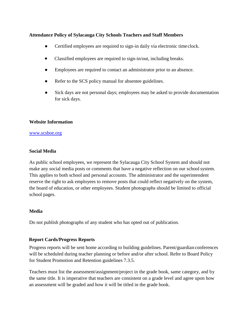### **Attendance Policy of Sylacauga City Schools Teachers and Staff Members**

- Certified employees are required to sign-in daily via electronic time clock.
- Classified employees are required to sign-in/out, including breaks.
- Employees are required to contact an administrator prior to an absence.
- Refer to the SCS policy manual for absentee guidelines.
- Sick days are not personal days; employees may be asked to provide documentation for sick days.

# **Website Information**

#### [www.s](http://www.ces.chickasawschools.com/)csboe.org

# **Social Media**

As public school employees, we represent the Sylacauga City School System and should not make any social media posts or comments that have a negative reflection on our schoolsystem. This applies to both school and personal accounts. The administrator and the superintendent reserve the right to ask employees to remove posts that could reflect negatively on the system, the board of education, or other employees. Student photographs should be limited to official school pages.

# **Media**

Do not publish photographs of any student who has opted out of publication.

# **Report Cards/Progress Reports**

Progress reports will be sent home according to building guidelines. Parent/guardian conferences will be scheduled during teacher planning or before and/or after school. Refer to Board Policy for Student Promotion and Retention guidelines 7.3.5.

Teachers must list the assessment/assignment/project in the grade book, same category, and by the same title. It is imperative that teachers are consistent on a grade level and agree upon how an assessment will be graded and how it will be titled in the grade book.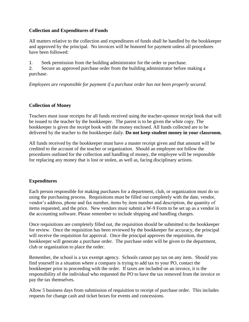# **Collection and Expenditures of Funds**

All matters relative to the collection and expenditures of funds shall be handled by the bookkeeper and approved by the principal. No invoices will be honored for payment unless all procedures have been followed:

1. Seek permission from the building administrator for the order or purchase.

2. Secure an approved purchase order from the building administrator before making a purchase.

*Employees are responsible for payment if a purchase order has not been properly secured.*

### **Collection of Money**

Teachers must issue receipts for all funds received using the teacher-sponsor receipt book that will be issued to the teacher by the bookkeeper. The parent is to be given the white copy. The bookkeeper is given the receipt book with the money enclosed. All funds collected are to be delivered by the teacher to the bookkeeper daily. **Do not keep student money in your classroom.**

All funds received by the bookkeeper must have a master receipt given and that amount will be credited to the account of the teacher or organization. Should an employee not follow the procedures outlined for the collection and handling of money, the employee will be responsible for replacing any money that is lost or stolen, as well as, facing disciplinary actions.

# **Expenditures**

Each person responsible for making purchases for a department, club, or organization must do so using the purchasing process. Requisitions must be filled out completely with the date, vendor, vendor's address, phone and fax number, items by item number and description, the quantity of items requested, and the price. New vendors must submit a W-9 Form to be set up as a vendor in the accounting software. Please remember to include shipping and handling charges.

Once requisitions are completely filled out, the requisition should be submitted to the bookkeeper for review. Once the requisition has been reviewed by the bookkeeper for accuracy, the principal will receive the requisition for approval. Once the principal approves the requisition, the bookkeeper will generate a purchase order. The purchase order will be given to the department, club or organization to place the order.

Remember, the school is a tax exempt agency. Schools cannot pay tax on any item. Should you find yourself in a situation where a company is trying to add tax to your PO, contact the bookkeeper prior to proceeding with the order. If taxes are included on an invoice, it is the responsibility of the individual who requested the PO to have the tax removed from the invoice or pay the tax themselves.

Allow 5 business days from submission of requisition to receipt of purchase order. This includes requests for change cash and ticket boxes for events and concessions.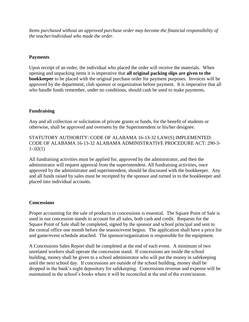*Items purchased without an approved purchase order may become the financial responsibility of the teacher/individual who made the order.*

### **Payments**

Upon receipt of an order, the individual who placed the order will receive the materials. When opening and unpacking items it is imperative that **all original packing slips are given to the bookkeeper** to be placed with the original purchase order for payment purposes. Invoices will be approved by the department, club sponsor or organization before payment. It is imperative that all who handle funds remember, under no conditions, should cash be used to make payments.

### **Fundraising**

Any and all collection or solicitation of private grants or funds, for the benefit of students or otherwise, shall be approved and overseen by the Superintendent or his/her designee.

STATUTORY AUTHORITY: CODE OF ALABAMA 16-13-32 LAW(S) IMPLEMENTED: CODE OF ALABAMA 16-13-32 ALABAMA ADMINISTRATIVE PROCEDURE ACT: 290-3-  $1-.02(1)$ 

All fundraising activities must be applied for, approved by the administrator, and then the administrator will request approval from the superintendent. All fundraising activities, once approved by the administrator and superintendent, should be discussed with the bookkeeper. Any and all funds raised by sales must be receipted by the sponsor and turned in to the bookkeeper and placed into individual accounts.

#### **Concessions**

Proper accounting for the sale of products in concessions is essential. The Square Point of Sale is used in our concession stands to account for all sales, both cash and credit. Requests for the Square Point of Sale shall be completed, signed by the sponsor and school principal and sent to the central office one month before the season/event begins. The application shall have a price list and game/event schedule attached. The sponsor/organization is responsible for the equipment.

A Concessions Sales Report shall be completed at the end of each event. A minimum of two unrelated workers shall operate the concession stand. If concessions are inside the school building, money shall be given to a school administrator who will put the money in safekeeping until the next school day. If concessions are outside of the school building, money shall be dropped in the bank's night depository for safekeeping. Concessions revenue and expense will be maintained in the school's books where it will be reconciled at the end of the event/season.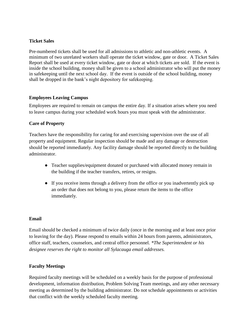## **Ticket Sales**

Pre-numbered tickets shall be used for all admissions to athletic and non-athletic events. A minimum of two unrelated workers shall operate the ticket window, gate or door. A Ticket Sales Report shall be used at every ticket window, gate or door at which tickets are sold. If the event is inside the school building, money shall be given to a school administrator who will put the money in safekeeping until the next school day. If the event is outside of the school building, money shall be dropped in the bank's night depository for safekeeping.

# **Employees Leaving Campus**

Employees are required to remain on campus the entire day. If a situation arises where you need to leave campus during your scheduled work hours you must speak with the administrator.

### **Care of Property**

Teachers have the responsibility for caring for and exercising supervision over the use of all property and equipment. Regular inspection should be made and any damage or destruction should be reported immediately. Any facility damage should be reported directly to the building administrator.

- Teacher supplies/equipment donated or purchased with allocated money remain in the building if the teacher transfers, retires, or resigns.
- If you receive items through a delivery from the office or you inadvertently pick up an order that does not belong to you, please return the items to the office immediately.

#### **Email**

Email should be checked a minimum of twice daily (once in the morning and at least once prior to leaving for the day). Please respond to emails within 24 hours from parents, administrators, office staff, teachers, counselors, and central office personnel. *\*The Superintendent or his designee reserves the right to monitor all Sylacauga email addresses.*

# **Faculty Meetings**

Required faculty meetings will be scheduled on a weekly basis for the purpose of professional development, information distribution, Problem Solving Team meetings, and any other necessary meeting as determined by the building administrator. Do not schedule appointments or activities that conflict with the weekly scheduled faculty meeting.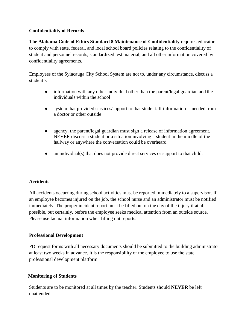# **Confidentiality of Records**

**The Alabama Code of Ethics Standard 8 Maintenance of Confidentiality** requires educators to comply with state, federal, and local school board policies relating to the confidentiality of student and personnel records, standardized test material, and all other information covered by confidentiality agreements.

Employees of the Sylacauga City School System are not to, under any circumstance, discuss a student's

- information with any other individual other than the parent/legal guardian and the individuals within the school
- system that provided services/support to that student. If information is needed from a doctor or other outside
- agency, the parent/legal guardian must sign a release of information agreement. NEVER discuss a student or a situation involving a student in the middle of the hallway or anywhere the conversation could be overheard
- an individual(s) that does not provide direct services or support to that child.

# **Accidents**

All accidents occurring during school activities must be reported immediately to a supervisor. If an employee becomes injured on the job, the school nurse and an administrator must be notified immediately. The proper incident report must be filled out on the day of the injury if at all possible, but certainly, before the employee seeks medical attention from an outside source. Please use factual information when filling out reports.

# **Professional Development**

PD request forms with all necessary documents should be submitted to the building administrator at least two weeks in advance. It is the responsibility of the employee to use the state professional development platform.

# **Monitoring of Students**

Students are to be monitored at all times by the teacher. Students should **NEVER** be left unattended.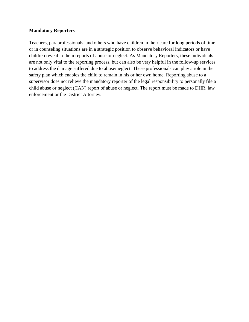#### **Mandatory Reporters**

Teachers, paraprofessionals, and others who have children in their care for long periods of time or in counseling situations are in a strategic position to observe behavioral indicators or have children reveal to them reports of abuse or neglect. As Mandatory Reporters, these individuals are not only vital to the reporting process, but can also be very helpful in the follow-up services to address the damage suffered due to abuse/neglect. These professionals can play a role in the safety plan which enables the child to remain in his or her own home. Reporting abuse to a supervisor does not relieve the mandatory reporter of the legal responsibility to personally file a child abuse or neglect (CAN) report of abuse or neglect. The report must be made to DHR, law enforcement or the District Attorney.